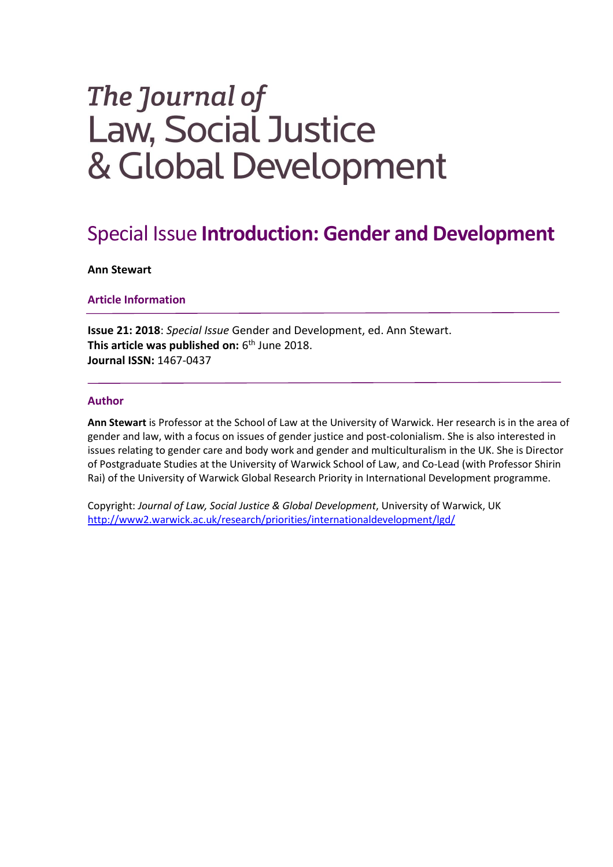# The Journal of **Law, Social Justice** & Global Development

## Special Issue **Introduction: Gender and Development**

#### **Ann Stewart**

#### **Article Information**

**Issue 21: 2018**: *Special Issue* Gender and Development, ed. Ann Stewart. **This article was published on:** 6<sup>th</sup> June 2018. **Journal ISSN:** 1467-0437

### **Author**

**Ann Stewart** is Professor at the School of Law at the University of Warwick. Her research is in the area of gender and law, with a focus on issues of gender justice and post-colonialism. She is also interested in issues relating to gender care and body work and gender and multiculturalism in the UK. She is Director of Postgraduate Studies at the University of Warwick School of Law, and Co-Lead (with Professor Shirin Rai) of the University of Warwick Global Research Priority in International Development programme.

Copyright: *Journal of Law, Social Justice & Global Development*, University of Warwick, UK <http://www2.warwick.ac.uk/research/priorities/internationaldevelopment/lgd/>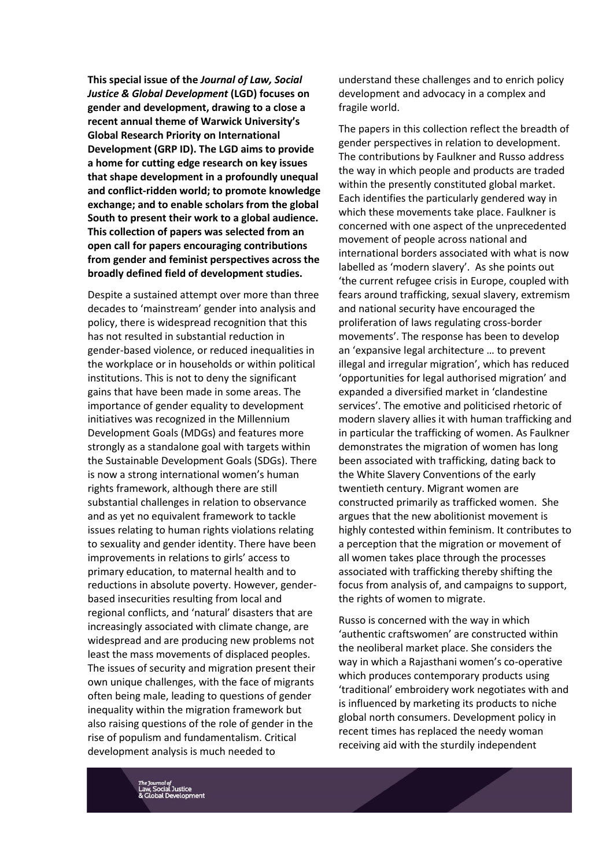**This special issue of the** *Journal of Law, Social Justice & Global Development* **(LGD) focuses on gender and development, drawing to a close a recent annual theme of Warwick University's Global Research Priority on International Development (GRP ID). The LGD aims to provide a home for cutting edge research on key issues that shape development in a profoundly unequal and conflict-ridden world; to promote knowledge exchange; and to enable scholars from the global South to present their work to a global audience. This collection of papers was selected from an open call for papers encouraging contributions from gender and feminist perspectives across the broadly defined field of development studies.**

Despite a sustained attempt over more than three decades to 'mainstream' gender into analysis and policy, there is widespread recognition that this has not resulted in substantial reduction in gender-based violence, or reduced inequalities in the workplace or in households or within political institutions. This is not to deny the significant gains that have been made in some areas. The importance of gender equality to development initiatives was recognized in the Millennium Development Goals (MDGs) and features more strongly as a standalone goal with targets within the Sustainable Development Goals (SDGs). There is now a strong international women's human rights framework, although there are still substantial challenges in relation to observance and as yet no equivalent framework to tackle issues relating to human rights violations relating to sexuality and gender identity. There have been improvements in relations to girls' access to primary education, to maternal health and to reductions in absolute poverty. However, genderbased insecurities resulting from local and regional conflicts, and 'natural' disasters that are increasingly associated with climate change, are widespread and are producing new problems not least the mass movements of displaced peoples. The issues of security and migration present their own unique challenges, with the face of migrants often being male, leading to questions of gender inequality within the migration framework but also raising questions of the role of gender in the rise of populism and fundamentalism. Critical development analysis is much needed to

understand these challenges and to enrich policy development and advocacy in a complex and fragile world.

The papers in this collection reflect the breadth of gender perspectives in relation to development. The contributions by Faulkner and Russo address the way in which people and products are traded within the presently constituted global market. Each identifies the particularly gendered way in which these movements take place. Faulkner is concerned with one aspect of the unprecedented movement of people across national and international borders associated with what is now labelled as 'modern slavery'. As she points out 'the current refugee crisis in Europe, coupled with fears around trafficking, sexual slavery, extremism and national security have encouraged the proliferation of laws regulating cross-border movements'. The response has been to develop an 'expansive legal architecture … to prevent illegal and irregular migration', which has reduced 'opportunities for legal authorised migration' and expanded a diversified market in 'clandestine services'. The emotive and politicised rhetoric of modern slavery allies it with human trafficking and in particular the trafficking of women. As Faulkner demonstrates the migration of women has long been associated with trafficking, dating back to the White Slavery Conventions of the early twentieth century. Migrant women are constructed primarily as trafficked women. She argues that the new abolitionist movement is highly contested within feminism. It contributes to a perception that the migration or movement of all women takes place through the processes associated with trafficking thereby shifting the focus from analysis of, and campaigns to support, the rights of women to migrate.

Russo is concerned with the way in which 'authentic craftswomen' are constructed within the neoliberal market place. She considers the way in which a Rajasthani women's co-operative which produces contemporary products using 'traditional' embroidery work negotiates with and is influenced by marketing its products to niche global north consumers. Development policy in recent times has replaced the needy woman receiving aid with the sturdily independent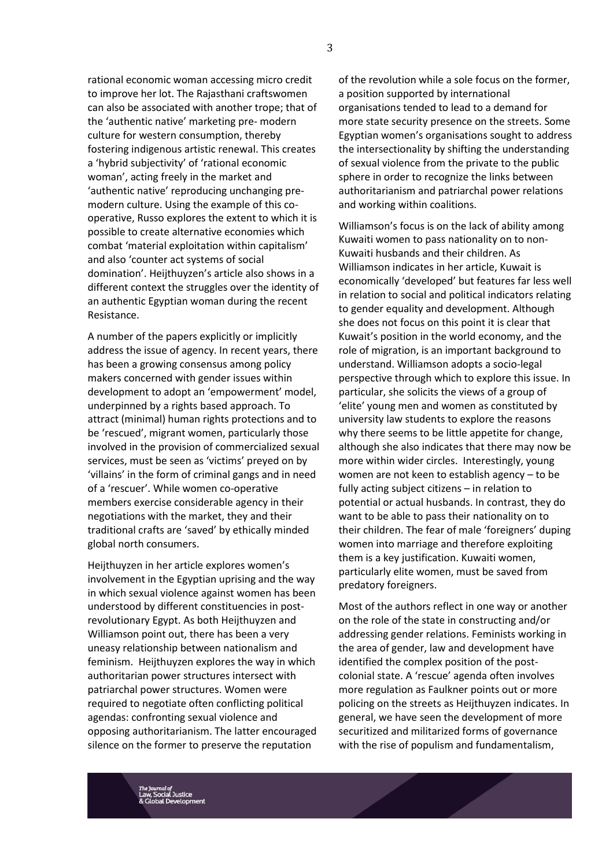rational economic woman accessing micro credit to improve her lot. The Rajasthani craftswomen can also be associated with another trope; that of the 'authentic native' marketing pre- modern culture for western consumption, thereby fostering indigenous artistic renewal. This creates a 'hybrid subjectivity' of 'rational economic woman', acting freely in the market and 'authentic native' reproducing unchanging premodern culture. Using the example of this cooperative, Russo explores the extent to which it is possible to create alternative economies which combat 'material exploitation within capitalism' and also 'counter act systems of social domination'. Heijthuyzen's article also shows in a different context the struggles over the identity of an authentic Egyptian woman during the recent Resistance.

A number of the papers explicitly or implicitly address the issue of agency. In recent years, there has been a growing consensus among policy makers concerned with gender issues within development to adopt an 'empowerment' model, underpinned by a rights based approach. To attract (minimal) human rights protections and to be 'rescued', migrant women, particularly those involved in the provision of commercialized sexual services, must be seen as 'victims' preyed on by 'villains' in the form of criminal gangs and in need of a 'rescuer'. While women co-operative members exercise considerable agency in their negotiations with the market, they and their traditional crafts are 'saved' by ethically minded global north consumers.

Heijthuyzen in her article explores women's involvement in the Egyptian uprising and the way in which sexual violence against women has been understood by different constituencies in postrevolutionary Egypt. As both Heijthuyzen and Williamson point out, there has been a very uneasy relationship between nationalism and feminism. Heijthuyzen explores the way in which authoritarian power structures intersect with patriarchal power structures. Women were required to negotiate often conflicting political agendas: confronting sexual violence and opposing authoritarianism. The latter encouraged silence on the former to preserve the reputation

of the revolution while a sole focus on the former, a position supported by international organisations tended to lead to a demand for more state security presence on the streets. Some Egyptian women's organisations sought to address the intersectionality by shifting the understanding of sexual violence from the private to the public sphere in order to recognize the links between authoritarianism and patriarchal power relations and working within coalitions.

Williamson's focus is on the lack of ability among Kuwaiti women to pass nationality on to non-Kuwaiti husbands and their children. As Williamson indicates in her article, Kuwait is economically 'developed' but features far less well in relation to social and political indicators relating to gender equality and development. Although she does not focus on this point it is clear that Kuwait's position in the world economy, and the role of migration, is an important background to understand. Williamson adopts a socio-legal perspective through which to explore this issue. In particular, she solicits the views of a group of 'elite' young men and women as constituted by university law students to explore the reasons why there seems to be little appetite for change, although she also indicates that there may now be more within wider circles. Interestingly, young women are not keen to establish agency – to be fully acting subject citizens – in relation to potential or actual husbands. In contrast, they do want to be able to pass their nationality on to their children. The fear of male 'foreigners' duping women into marriage and therefore exploiting them is a key justification. Kuwaiti women, particularly elite women, must be saved from predatory foreigners.

Most of the authors reflect in one way or another on the role of the state in constructing and/or addressing gender relations. Feminists working in the area of gender, law and development have identified the complex position of the postcolonial state. A 'rescue' agenda often involves more regulation as Faulkner points out or more policing on the streets as Heijthuyzen indicates. In general, we have seen the development of more securitized and militarized forms of governance with the rise of populism and fundamentalism,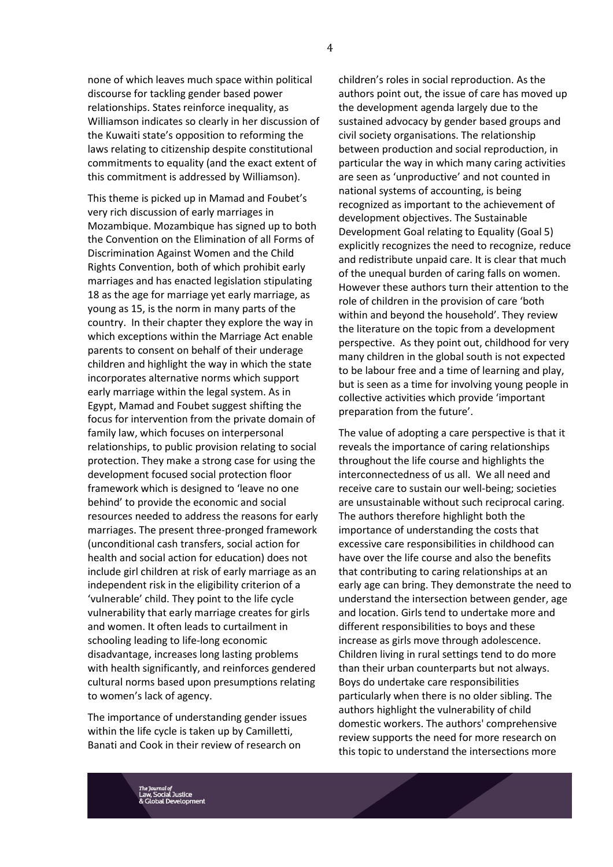none of which leaves much space within political discourse for tackling gender based power relationships. States reinforce inequality, as Williamson indicates so clearly in her discussion of the Kuwaiti state's opposition to reforming the laws relating to citizenship despite constitutional commitments to equality (and the exact extent of this commitment is addressed by Williamson).

This theme is picked up in Mamad and Foubet's very rich discussion of early marriages in Mozambique. Mozambique has signed up to both the Convention on the Elimination of all Forms of Discrimination Against Women and the Child Rights Convention, both of which prohibit early marriages and has enacted legislation stipulating 18 as the age for marriage yet early marriage, as young as 15, is the norm in many parts of the country. In their chapter they explore the way in which exceptions within the Marriage Act enable parents to consent on behalf of their underage children and highlight the way in which the state incorporates alternative norms which support early marriage within the legal system. As in Egypt, Mamad and Foubet suggest shifting the focus for intervention from the private domain of family law, which focuses on interpersonal relationships, to public provision relating to social protection. They make a strong case for using the development focused social protection floor framework which is designed to 'leave no one behind' to provide the economic and social resources needed to address the reasons for early marriages. The present three-pronged framework (unconditional cash transfers, social action for health and social action for education) does not include girl children at risk of early marriage as an independent risk in the eligibility criterion of a 'vulnerable' child. They point to the life cycle vulnerability that early marriage creates for girls and women. It often leads to curtailment in schooling leading to life-long economic disadvantage, increases long lasting problems with health significantly, and reinforces gendered cultural norms based upon presumptions relating to women's lack of agency.

The importance of understanding gender issues within the life cycle is taken up by Camilletti, Banati and Cook in their review of research on

children's roles in social reproduction. As the authors point out, the issue of care has moved up the development agenda largely due to the sustained advocacy by gender based groups and civil society organisations. The relationship between production and social reproduction, in particular the way in which many caring activities are seen as 'unproductive' and not counted in national systems of accounting, is being recognized as important to the achievement of development objectives. The Sustainable Development Goal relating to Equality (Goal 5) explicitly recognizes the need to recognize, reduce and redistribute unpaid care. It is clear that much of the unequal burden of caring falls on women. However these authors turn their attention to the role of children in the provision of care 'both within and beyond the household'. They review the literature on the topic from a development perspective. As they point out, childhood for very many children in the global south is not expected to be labour free and a time of learning and play, but is seen as a time for involving young people in collective activities which provide 'important preparation from the future'.

The value of adopting a care perspective is that it reveals the importance of caring relationships throughout the life course and highlights the interconnectedness of us all. We all need and receive care to sustain our well-being; societies are unsustainable without such reciprocal caring. The authors therefore highlight both the importance of understanding the costs that excessive care responsibilities in childhood can have over the life course and also the benefits that contributing to caring relationships at an early age can bring. They demonstrate the need to understand the intersection between gender, age and location. Girls tend to undertake more and different responsibilities to boys and these increase as girls move through adolescence. Children living in rural settings tend to do more than their urban counterparts but not always. Boys do undertake care responsibilities particularly when there is no older sibling. The authors highlight the vulnerability of child domestic workers. The authors' comprehensive review supports the need for more research on this topic to understand the intersections more

4